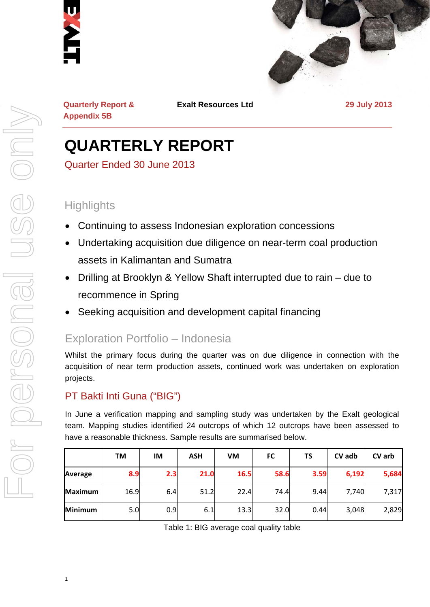



**Quarterly Report & Appendix 5B** 

**Exalt Resources Ltd 29 July 2013**

# **QUARTERLY REPORT**

Quarter Ended 30 June 2013

# **Highlights**

- Continuing to assess Indonesian exploration concessions
- Undertaking acquisition due diligence on near-term coal production assets in Kalimantan and Sumatra
- Drilling at Brooklyn & Yellow Shaft interrupted due to rain due to recommence in Spring
- Seeking acquisition and development capital financing

# Exploration Portfolio – Indonesia

Whilst the primary focus during the quarter was on due diligence in connection with the acquisition of near term production assets, continued work was undertaken on exploration projects.

# PT Bakti Inti Guna ("BIG")

1

In June a verification mapping and sampling study was undertaken by the Exalt geological team. Mapping studies identified 24 outcrops of which 12 outcrops have been assessed to have a reasonable thickness. Sample results are summarised below.

|                | <b>TM</b> | IM  | <b>ASH</b> | VM   | <b>FC</b> | TS   | CV adb | CV arb |
|----------------|-----------|-----|------------|------|-----------|------|--------|--------|
| Average        | 8.9       | 2.3 | 21.0       | 16.5 | 58.6      | 3.59 | 6,192  | 5,684  |
| <b>Maximum</b> | 16.9      | 6.4 | 51.2       | 22.4 | 74.4      | 9.44 | 7,740  | 7,317  |
| <b>Minimum</b> | 5.0       | 0.9 | 6.1        | 13.3 | 32.0      | 0.44 | 3,048  | 2,829  |

Table 1: BIG average coal quality table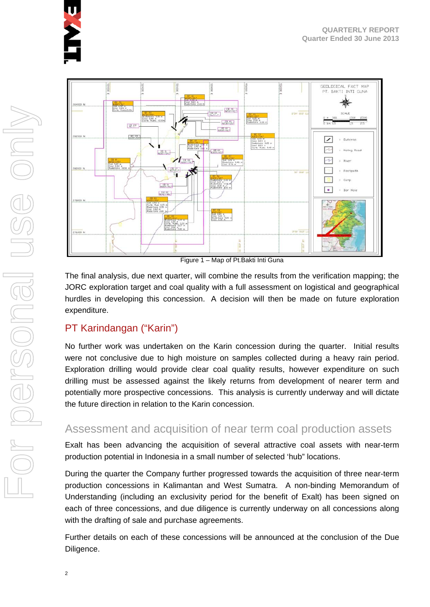



Figure 1 – Map of Pt.Bakti Inti Guna

The final analysis, due next quarter, will combine the results from the verification mapping; the JORC exploration target and coal quality with a full assessment on logistical and geographical hurdles in developing this concession. A decision will then be made on future exploration expenditure.

## PT Karindangan ("Karin")

No further work was undertaken on the Karin concession during the quarter. Initial results were not conclusive due to high moisture on samples collected during a heavy rain period. Exploration drilling would provide clear coal quality results, however expenditure on such drilling must be assessed against the likely returns from development of nearer term and potentially more prospective concessions. This analysis is currently underway and will dictate the future direction in relation to the Karin concession.

# Assessment and acquisition of near term coal production assets

Exalt has been advancing the acquisition of several attractive coal assets with near-term production potential in Indonesia in a small number of selected 'hub" locations.

During the quarter the Company further progressed towards the acquisition of three near-term production concessions in Kalimantan and West Sumatra. A non-binding Memorandum of Understanding (including an exclusivity period for the benefit of Exalt) has been signed on each of three concessions, and due diligence is currently underway on all concessions along with the drafting of sale and purchase agreements.

Further details on each of these concessions will be announced at the conclusion of the Due Diligence.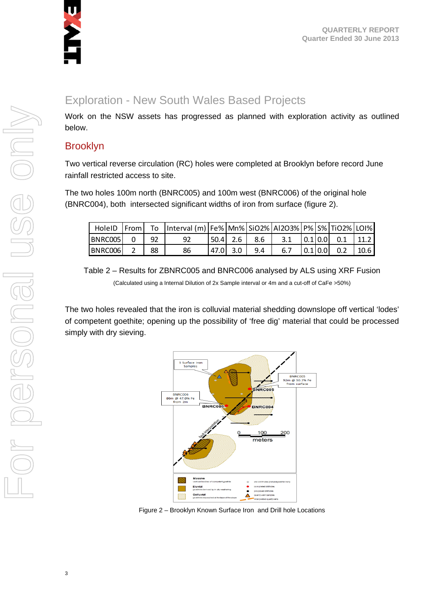

# Exploration - New South Wales Based Projects

Work on the NSW assets has progressed as planned with exploration activity as outlined below.

### Brooklyn

Two vertical reverse circulation (RC) holes were completed at Brooklyn before record June rainfall restricted access to site.

The two holes 100m north (BNRC005) and 100m west (BNRC006) of the original hole (BNRC004), both intersected significant widths of iron from surface (figure 2).

|         |             |      | HoleID From To Interval (m) Fe% Mn% SiO2% AI2O3% P% S% TiO2% LOI% |          |                                                                                 |  |  |
|---------|-------------|------|-------------------------------------------------------------------|----------|---------------------------------------------------------------------------------|--|--|
| BNRC005 | $0 \mid 92$ |      | 92                                                                |          | $\begin{bmatrix} 50.4 & 2.6 & 8.6 & 3.1 & 0.1 & 0.0 & 0.1 & 11.2 \end{bmatrix}$ |  |  |
| BNRC006 |             | - 88 | 86                                                                | 47.0 3.0 | $9.4$   6.7   0.1   0.0   0.2   10.6                                            |  |  |

Table 2 – Results for ZBNRC005 and BNRC006 analysed by ALS using XRF Fusion (Calculated using a Internal Dilution of 2x Sample interval or 4m and a cut-off of CaFe >50%)

The two holes revealed that the iron is colluvial material shedding downslope off vertical 'lodes' of competent goethite; opening up the possibility of 'free dig' material that could be processed simply with dry sieving.



Figure 2 – Brooklyn Known Surface Iron and Drill hole Locations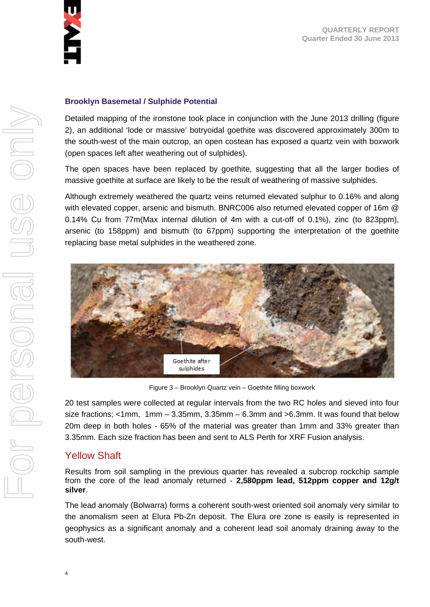

#### **Brooklyn Basemetal / Sulphide Potential**

Detailed mapping of the ironstone took place in conjunction with the June 2013 drilling (figure 2), an additional 'lode or massive' botryoidal goethite was discovered approximately 300m to the south-west of the main outcrop, an open costean has exposed a quartz vein with boxwork (open spaces left after weathering out of sulphides).

The open spaces have been replaced by goethite, suggesting that all the larger bodies of massive goethite at surface are likely to be the result of weathering of massive sulphides.

Although extremely weathered the quartz veins returned elevated sulphur to 0.16% and along with elevated copper, arsenic and bismuth. BNRC006 also returned elevated copper of 16m @ 0.14% Cu from 77m(Max internal dilution of 4m with a cut-off of 0.1%), zinc (to 823ppm), arsenic (to 158ppm) and bismuth (to 67ppm) supporting the interpretation of the goethite replacing base metal sulphides in the weathered zone.



Figure 3 – Brooklyn Quartz vein – Goethite filling boxwork

20 test samples were collected at regular intervals from the two RC holes and sieved into four size fractions; <1mm, 1mm – 3.35mm, 3.35mm – 6.3mm and >6.3mm. It was found that below 20m deep in both holes - 65% of the material was greater than 1mm and 33% greater than 3.35mm. Each size fraction has been and sent to ALS Perth for XRF Fusion analysis.

## Yellow Shaft

Results from soil sampling in the previous quarter has revealed a subcrop rockchip sample from the core of the lead anomaly returned - **2,580ppm lead, 512ppm copper and 12g/t silver**.

The lead anomaly (Bolwarra) forms a coherent south-west oriented soil anomaly very similar to the anomalism seen at Elura Pb-Zn deposit. The Elura ore zone is easily is represented in geophysics as a significant anomaly and a coherent lead soil anomaly draining away to the south-west.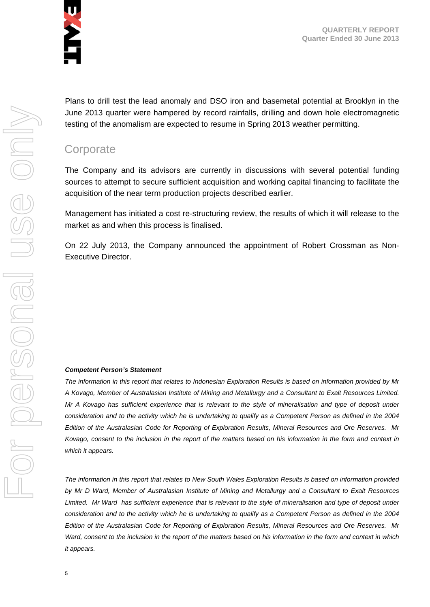

**QUARTERLY REPORT Quarter Ended 30 June 2013** 

Plans to drill test the lead anomaly and DSO iron and basemetal potential at Brooklyn in the June 2013 quarter were hampered by record rainfalls, drilling and down hole electromagnetic testing of the anomalism are expected to resume in Spring 2013 weather permitting.

# **Corporate**

The Company and its advisors are currently in discussions with several potential funding sources to attempt to secure sufficient acquisition and working capital financing to facilitate the acquisition of the near term production projects described earlier.

Management has initiated a cost re-structuring review, the results of which it will release to the market as and when this process is finalised.

On 22 July 2013, the Company announced the appointment of Robert Crossman as Non-Executive Director.

#### *Competent Person's Statement*

*The information in this report that relates to Indonesian Exploration Results is based on information provided by Mr A Kovago, Member of Australasian Institute of Mining and Metallurgy and a Consultant to Exalt Resources Limited. Mr A Kovago has sufficient experience that is relevant to the style of mineralisation and type of deposit under consideration and to the activity which he is undertaking to qualify as a Competent Person as defined in the 2004 Edition of the Australasian Code for Reporting of Exploration Results, Mineral Resources and Ore Reserves. Mr Kovago, consent to the inclusion in the report of the matters based on his information in the form and context in which it appears.* 

*The information in this report that relates to New South Wales Exploration Results is based on information provided by Mr D Ward, Member of Australasian Institute of Mining and Metallurgy and a Consultant to Exalt Resources*  Limited. Mr Ward has sufficient experience that is relevant to the style of mineralisation and type of deposit under *consideration and to the activity which he is undertaking to qualify as a Competent Person as defined in the 2004 Edition of the Australasian Code for Reporting of Exploration Results, Mineral Resources and Ore Reserves. Mr Ward, consent to the inclusion in the report of the matters based on his information in the form and context in which it appears.*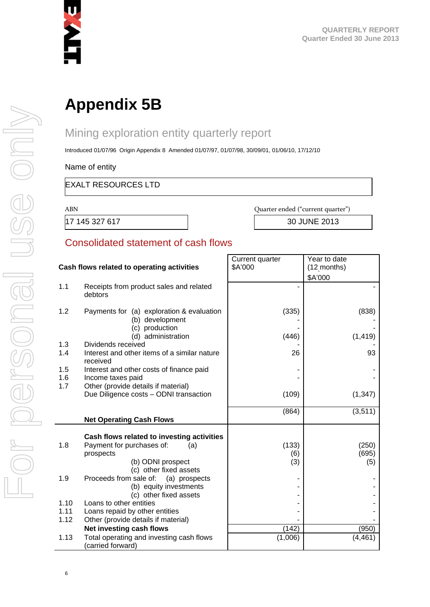

# **Appendix 5B**

# Mining exploration entity quarterly report

Introduced 01/07/96 Origin Appendix 8 Amended 01/07/97, 01/07/98, 30/09/01, 01/06/10, 17/12/10

Name of entity

#### EXALT RESOURCES LTD

ABN

Quarter ended ("current quarter")

17 145 327 617 30 JUNE 2013

## Consolidated statement of cash flows

| Cash flows related to operating activities |                                                               | Current quarter<br>\$A'000 | Year to date<br>(12 months) |
|--------------------------------------------|---------------------------------------------------------------|----------------------------|-----------------------------|
|                                            |                                                               |                            |                             |
| 1.1                                        | Receipts from product sales and related                       |                            | \$A'000                     |
|                                            | debtors                                                       |                            |                             |
| 1.2                                        | Payments for (a) exploration & evaluation<br>(b) development  | (335)                      | (838)                       |
|                                            | (c) production<br>(d) administration                          | (446)                      | (1, 419)                    |
| 1.3                                        | Dividends received                                            |                            |                             |
| 1.4                                        | Interest and other items of a similar nature<br>received      | 26                         | 93                          |
| 1.5                                        | Interest and other costs of finance paid                      |                            |                             |
| 1.6                                        | Income taxes paid                                             |                            |                             |
| 1.7                                        | Other (provide details if material)                           |                            |                             |
|                                            | Due Diligence costs - ODNI transaction                        | (109)                      | (1, 347)                    |
|                                            |                                                               | (864)                      | (3,511)                     |
|                                            | <b>Net Operating Cash Flows</b>                               |                            |                             |
|                                            |                                                               |                            |                             |
|                                            | Cash flows related to investing activities                    |                            |                             |
| 1.8                                        | Payment for purchases of:<br>(a)                              | (133)                      | (250)                       |
|                                            | prospects                                                     | (6)                        | (695)                       |
|                                            | (b) ODNI prospect<br>(c) other fixed assets                   | (3)                        | (5)                         |
| 1.9                                        | Proceeds from sale of:<br>(a) prospects                       |                            |                             |
|                                            | (b) equity investments                                        |                            |                             |
|                                            | (c) other fixed assets                                        |                            |                             |
| 1.10                                       | Loans to other entities                                       |                            |                             |
| 1.11                                       | Loans repaid by other entities                                |                            |                             |
| 1.12                                       | Other (provide details if material)                           |                            |                             |
|                                            | Net investing cash flows                                      | (142)                      | (950)                       |
| 1.13                                       | Total operating and investing cash flows<br>(carried forward) | (1,006)                    | (4, 461)                    |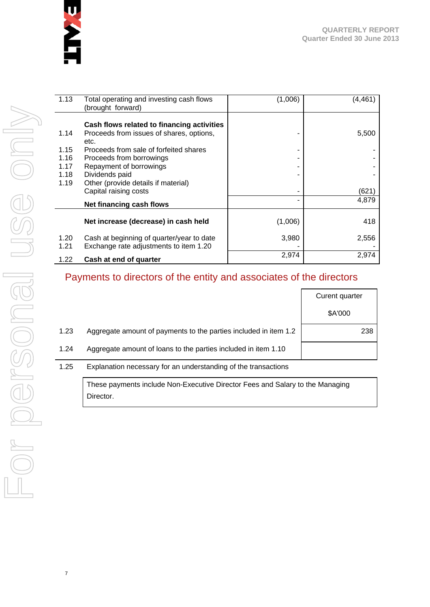

| 1.13         | Total operating and investing cash flows<br>(brought forward)                          | (1,006) | (4, 461) |
|--------------|----------------------------------------------------------------------------------------|---------|----------|
| 1.14         | Cash flows related to financing activities<br>Proceeds from issues of shares, options, |         | 5,500    |
|              | etc.                                                                                   |         |          |
| 1.15         | Proceeds from sale of forfeited shares                                                 | ۰       |          |
| 1.16         | Proceeds from borrowings                                                               |         |          |
| 1.17         | Repayment of borrowings                                                                |         |          |
| 1.18         | Dividends paid                                                                         |         |          |
| 1.19         | Other (provide details if material)<br>Capital raising costs                           | ۰       | (621)    |
|              | Net financing cash flows                                                               | ۰       | 4,879    |
|              | Net increase (decrease) in cash held                                                   | (1,006) | 418      |
| 1.20<br>1.21 | Cash at beginning of quarter/year to date<br>Exchange rate adjustments to item 1.20    | 3,980   | 2,556    |
| 1.22         | Cash at end of quarter                                                                 | 2,974   | 2,974    |

# Payments to directors of the entity and associates of the directors

|      |                                                                  | Curent quarter |
|------|------------------------------------------------------------------|----------------|
|      |                                                                  | \$A'000        |
| 1.23 | Aggregate amount of payments to the parties included in item 1.2 | 238            |
| 1.24 | Aggregate amount of loans to the parties included in item 1.10   |                |
|      |                                                                  |                |

#### 1.25 Explanation necessary for an understanding of the transactions

These payments include Non-Executive Director Fees and Salary to the Managing Director.

7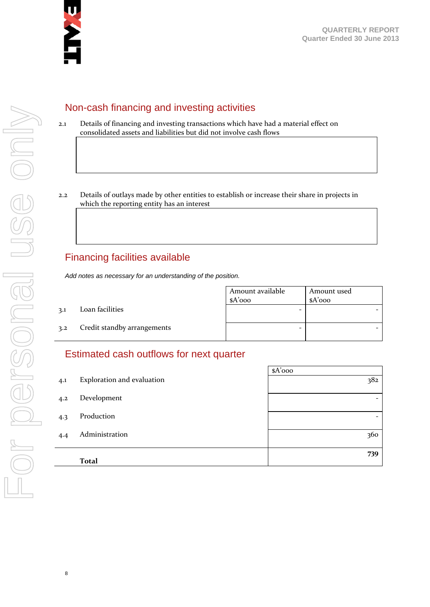

## Non-cash financing and investing activities

- 2.1 Details of financing and investing transactions which have had a material effect on consolidated assets and liabilities but did not involve cash flows
- 2.2 Details of outlays made by other entities to establish or increase their share in projects in which the reporting entity has an interest

## Financing facilities available

*Add notes as necessary for an understanding of the position.* 

Amount available \$A'000 Amount used \$A'000 3.1 Loan facilities 3.2 Credit standby arrangements ‐ ‐

## Estimated cash outflows for next quarter

|     |                            | $A'$ 000                 |
|-----|----------------------------|--------------------------|
| 4.1 | Exploration and evaluation | 382                      |
| 4.2 | Development                | $\overline{\phantom{0}}$ |
| 4.3 | Production                 | -                        |
| 4.4 | Administration             | 360                      |
|     | <b>Total</b>               | 739                      |

8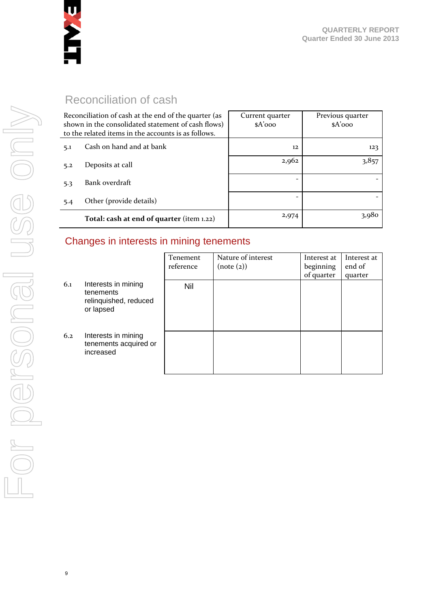

# Reconciliation of cash

|     | Reconciliation of cash at the end of the quarter (as<br>shown in the consolidated statement of cash flows)<br>to the related items in the accounts is as follows. | Current quarter<br>$A'$ 000 | Previous quarter<br>$A'$ 000 |
|-----|-------------------------------------------------------------------------------------------------------------------------------------------------------------------|-----------------------------|------------------------------|
| 5.1 | Cash on hand and at bank                                                                                                                                          | 12                          | 123                          |
| 5.2 | Deposits at call                                                                                                                                                  | 2,962                       | 3,857                        |
| 5.3 | Bank overdraft                                                                                                                                                    |                             |                              |
| 5.4 | Other (provide details)                                                                                                                                           | ۰                           |                              |
|     | Total: cash at end of quarter (item 1.22)                                                                                                                         | 2,974                       | 3,980                        |

## Changes in interests in mining tenements

|     |                                                                        | Tenement<br>reference | Nature of interest<br>(note (2)) | Interest at<br>beginning<br>of quarter | Interest at<br>end of<br>quarter |
|-----|------------------------------------------------------------------------|-----------------------|----------------------------------|----------------------------------------|----------------------------------|
| 6.1 | Interests in mining<br>tenements<br>relinquished, reduced<br>or lapsed | Nil                   |                                  |                                        |                                  |
| 6.2 | Interests in mining<br>tenements acquired or<br>increased              |                       |                                  |                                        |                                  |

9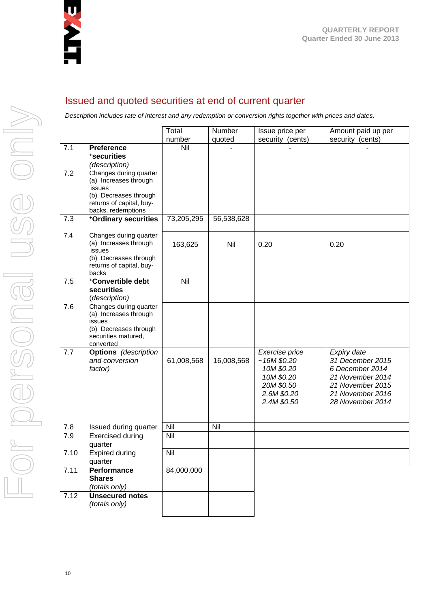

## Issued and quoted securities at end of current quarter

*Description includes rate of interest and any redemption or conversion rights together with prices and dates.* 

|      |                                                                                                                                      | Total         | Number     | Issue price per                                                                                      | Amount paid up per                                                                                                                 |
|------|--------------------------------------------------------------------------------------------------------------------------------------|---------------|------------|------------------------------------------------------------------------------------------------------|------------------------------------------------------------------------------------------------------------------------------------|
| 7.1  | <b>Preference</b><br>*securities<br>(description)                                                                                    | number<br>Nil | quoted     | security (cents)                                                                                     | security (cents)                                                                                                                   |
| 7.2  | Changes during quarter<br>(a) Increases through<br>issues<br>(b) Decreases through<br>returns of capital, buy-<br>backs, redemptions |               |            |                                                                                                      |                                                                                                                                    |
| 7.3  | +Ordinary securities                                                                                                                 | 73,205,295    | 56,538,628 |                                                                                                      |                                                                                                                                    |
| 7.4  | Changes during quarter<br>(a) Increases through<br>issues<br>(b) Decreases through<br>returns of capital, buy-<br>backs              | 163,625       | Nil        | 0.20                                                                                                 | 0.20                                                                                                                               |
| 7.5  | +Convertible debt<br>securities<br>(description)                                                                                     | Nil           |            |                                                                                                      |                                                                                                                                    |
| 7.6  | Changes during quarter<br>(a) Increases through<br>issues<br>(b) Decreases through<br>securities matured,<br>converted               |               |            |                                                                                                      |                                                                                                                                    |
| 7.7  | <b>Options</b> (description<br>and conversion<br>factor)                                                                             | 61,008,568    | 16,008,568 | Exercise price<br>~16M\$0.20<br>10M \$0.20<br>10M \$0.20<br>20M \$0.50<br>2.6M \$0.20<br>2.4M \$0.50 | Expiry date<br>31 December 2015<br>6 December 2014<br>21 November 2014<br>21 November 2015<br>21 November 2016<br>28 November 2014 |
| 7.8  | Issued during quarter                                                                                                                | Nil           | Nil        |                                                                                                      |                                                                                                                                    |
| 7.9  | <b>Exercised during</b><br>quarter                                                                                                   | Nil           |            |                                                                                                      |                                                                                                                                    |
| 7.10 | <b>Expired during</b><br>quarter                                                                                                     | Nil           |            |                                                                                                      |                                                                                                                                    |
| 7.11 | Performance<br><b>Shares</b><br>(totals only)                                                                                        | 84,000,000    |            |                                                                                                      |                                                                                                                                    |
| 7.12 | <b>Unsecured notes</b><br>(totals only)                                                                                              |               |            |                                                                                                      |                                                                                                                                    |